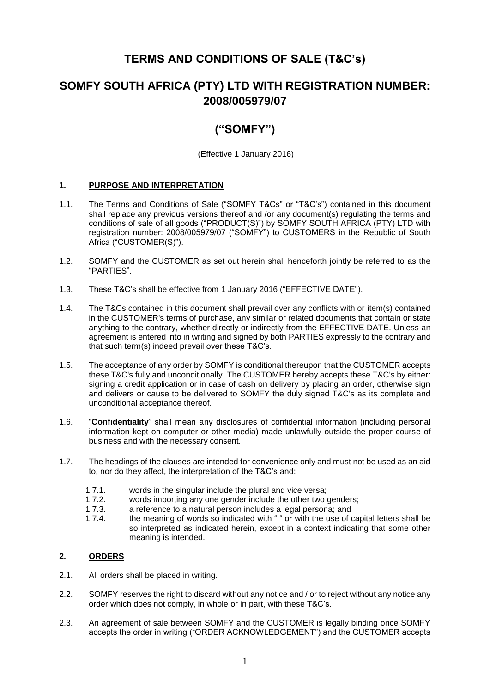# **TERMS AND CONDITIONS OF SALE (T&C's)**

# **SOMFY SOUTH AFRICA (PTY) LTD WITH REGISTRATION NUMBER: 2008/005979/07**

# **("SOMFY")**

(Effective 1 January 2016)

## **1. PURPOSE AND INTERPRETATION**

- 1.1. The Terms and Conditions of Sale ("SOMFY T&Cs" or "T&C's") contained in this document shall replace any previous versions thereof and /or any document(s) regulating the terms and conditions of sale of all goods ("PRODUCT(S)") by SOMFY SOUTH AFRICA (PTY) LTD with registration number: 2008/005979/07 ("SOMFY") to CUSTOMERS in the Republic of South Africa ("CUSTOMER(S)").
- 1.2. SOMFY and the CUSTOMER as set out herein shall henceforth jointly be referred to as the "PARTIES".
- 1.3. These T&C's shall be effective from 1 January 2016 ("EFFECTIVE DATE").
- 1.4. The T&Cs contained in this document shall prevail over any conflicts with or item(s) contained in the CUSTOMER's terms of purchase, any similar or related documents that contain or state anything to the contrary, whether directly or indirectly from the EFFECTIVE DATE. Unless an agreement is entered into in writing and signed by both PARTIES expressly to the contrary and that such term(s) indeed prevail over these T&C's.
- 1.5. The acceptance of any order by SOMFY is conditional thereupon that the CUSTOMER accepts these T&C's fully and unconditionally. The CUSTOMER hereby accepts these T&C's by either: signing a credit application or in case of cash on delivery by placing an order, otherwise sign and delivers or cause to be delivered to SOMFY the duly signed T&C's as its complete and unconditional acceptance thereof.
- 1.6. "**Confidentiality**" shall mean any disclosures of confidential information (including personal information kept on computer or other media) made unlawfully outside the proper course of business and with the necessary consent.
- 1.7. The headings of the clauses are intended for convenience only and must not be used as an aid to, nor do they affect, the interpretation of the T&C's and:
	- 1.7.1. words in the singular include the plural and vice versa;<br>1.7.2. words importing any one gender include the other two of
	- 1.7.2. words importing any one gender include the other two genders;<br>1.7.3. a reference to a natural person includes a legal persona: and
	- 1.7.3. a reference to a natural person includes a legal persona; and 1.7.4. the meaning of words so indicated with " or with the use of our
	- the meaning of words so indicated with " " or with the use of capital letters shall be so interpreted as indicated herein, except in a context indicating that some other meaning is intended.

# **2. ORDERS**

- 2.1. All orders shall be placed in writing.
- 2.2. SOMFY reserves the right to discard without any notice and / or to reject without any notice any order which does not comply, in whole or in part, with these T&C's.
- 2.3. An agreement of sale between SOMFY and the CUSTOMER is legally binding once SOMFY accepts the order in writing ("ORDER ACKNOWLEDGEMENT") and the CUSTOMER accepts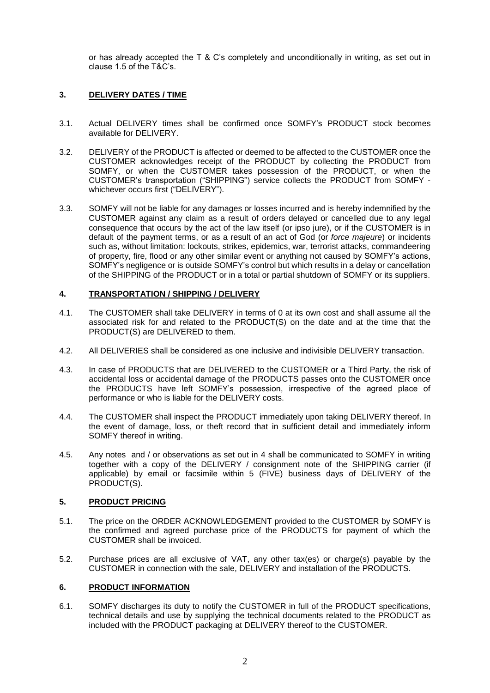or has already accepted the T & C's completely and unconditionally in writing, as set out in clause 1.5 of the T&C's.

# **3. DELIVERY DATES / TIME**

- 3.1. Actual DELIVERY times shall be confirmed once SOMFY's PRODUCT stock becomes available for DELIVERY.
- <span id="page-1-0"></span>3.2. DELIVERY of the PRODUCT is affected or deemed to be affected to the CUSTOMER once the CUSTOMER acknowledges receipt of the PRODUCT by collecting the PRODUCT from SOMFY, or when the CUSTOMER takes possession of the PRODUCT, or when the CUSTOMER's transportation ("SHIPPING") service collects the PRODUCT from SOMFY whichever occurs first ("DELIVERY").
- 3.3. SOMFY will not be liable for any damages or losses incurred and is hereby indemnified by the CUSTOMER against any claim as a result of orders delayed or cancelled due to any legal consequence that occurs by the act of the law itself (or ipso jure), or if the CUSTOMER is in default of the payment terms, or as a result of an act of God (or *force majeure*) or incidents such as, without limitation: lockouts, strikes, epidemics, war, terrorist attacks, commandeering of property, fire, flood or any other similar event or anything not caused by SOMFY's actions, SOMFY's negligence or is outside SOMFY's control but which results in a delay or cancellation of the SHIPPING of the PRODUCT or in a total or partial shutdown of SOMFY or its suppliers.

## **4. TRANSPORTATION / SHIPPING / DELIVERY**

- 4.1. The CUSTOMER shall take DELIVERY in terms of [0](#page-1-0) at its own cost and shall assume all the associated risk for and related to the PRODUCT(S) on the date and at the time that the PRODUCT(S) are DELIVERED to them.
- 4.2. All DELIVERIES shall be considered as one inclusive and indivisible DELIVERY transaction.
- 4.3. In case of PRODUCTS that are DELIVERED to the CUSTOMER or a Third Party, the risk of accidental loss or accidental damage of the PRODUCTS passes onto the CUSTOMER once the PRODUCTS have left SOMFY's possession, irrespective of the agreed place of performance or who is liable for the DELIVERY costs.
- 4.4. The CUSTOMER shall inspect the PRODUCT immediately upon taking DELIVERY thereof. In the event of damage, loss, or theft record that in sufficient detail and immediately inform SOMFY thereof in writing.
- 4.5. Any notes and / or observations as set out in 4 shall be communicated to SOMFY in writing together with a copy of the DELIVERY / consignment note of the SHIPPING carrier (if applicable) by email or facsimile within 5 (FIVE) business days of DELIVERY of the PRODUCT(S).

## **5. PRODUCT PRICING**

- 5.1. The price on the ORDER ACKNOWLEDGEMENT provided to the CUSTOMER by SOMFY is the confirmed and agreed purchase price of the PRODUCTS for payment of which the CUSTOMER shall be invoiced.
- 5.2. Purchase prices are all exclusive of VAT, any other tax(es) or charge(s) payable by the CUSTOMER in connection with the sale, DELIVERY and installation of the PRODUCTS.

#### **6. PRODUCT INFORMATION**

6.1. SOMFY discharges its duty to notify the CUSTOMER in full of the PRODUCT specifications, technical details and use by supplying the technical documents related to the PRODUCT as included with the PRODUCT packaging at DELIVERY thereof to the CUSTOMER.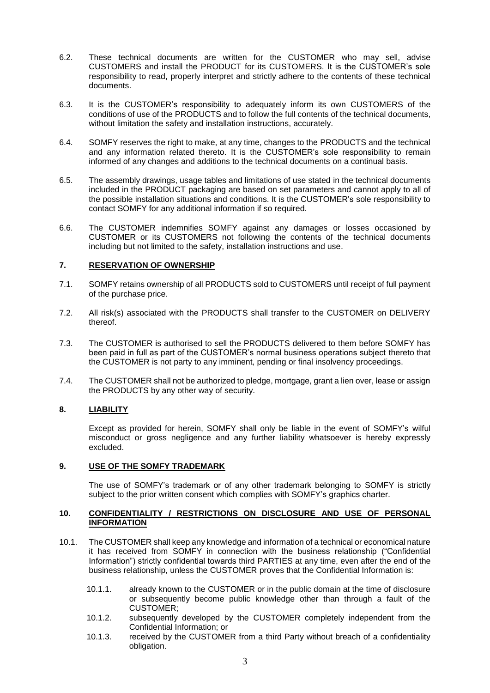- 6.2. These technical documents are written for the CUSTOMER who may sell, advise CUSTOMERS and install the PRODUCT for its CUSTOMERS. It is the CUSTOMER's sole responsibility to read, properly interpret and strictly adhere to the contents of these technical documents.
- 6.3. It is the CUSTOMER's responsibility to adequately inform its own CUSTOMERS of the conditions of use of the PRODUCTS and to follow the full contents of the technical documents, without limitation the safety and installation instructions, accurately.
- 6.4. SOMFY reserves the right to make, at any time, changes to the PRODUCTS and the technical and any information related thereto. It is the CUSTOMER's sole responsibility to remain informed of any changes and additions to the technical documents on a continual basis.
- 6.5. The assembly drawings, usage tables and limitations of use stated in the technical documents included in the PRODUCT packaging are based on set parameters and cannot apply to all of the possible installation situations and conditions. It is the CUSTOMER's sole responsibility to contact SOMFY for any additional information if so required.
- 6.6. The CUSTOMER indemnifies SOMFY against any damages or losses occasioned by CUSTOMER or its CUSTOMERS not following the contents of the technical documents including but not limited to the safety, installation instructions and use.

#### **7. RESERVATION OF OWNERSHIP**

- 7.1. SOMFY retains ownership of all PRODUCTS sold to CUSTOMERS until receipt of full payment of the purchase price.
- 7.2. All risk(s) associated with the PRODUCTS shall transfer to the CUSTOMER on DELIVERY thereof.
- 7.3. The CUSTOMER is authorised to sell the PRODUCTS delivered to them before SOMFY has been paid in full as part of the CUSTOMER's normal business operations subject thereto that the CUSTOMER is not party to any imminent, pending or final insolvency proceedings.
- 7.4. The CUSTOMER shall not be authorized to pledge, mortgage, grant a lien over, lease or assign the PRODUCTS by any other way of security.

# **8. LIABILITY**

Except as provided for herein, SOMFY shall only be liable in the event of SOMFY's wilful misconduct or gross negligence and any further liability whatsoever is hereby expressly excluded.

#### **9. USE OF THE SOMFY TRADEMARK**

The use of SOMFY's trademark or of any other trademark belonging to SOMFY is strictly subject to the prior written consent which complies with SOMFY's graphics charter.

#### **10. CONFIDENTIALITY / RESTRICTIONS ON DISCLOSURE AND USE OF PERSONAL INFORMATION**

- 10.1. The CUSTOMER shall keep any knowledge and information of a technical or economical nature it has received from SOMFY in connection with the business relationship ("Confidential Information") strictly confidential towards third PARTIES at any time, even after the end of the business relationship, unless the CUSTOMER proves that the Confidential Information is:
	- 10.1.1. already known to the CUSTOMER or in the public domain at the time of disclosure or subsequently become public knowledge other than through a fault of the CUSTOMER;
	- 10.1.2. subsequently developed by the CUSTOMER completely independent from the Confidential Information; or
	- 10.1.3. received by the CUSTOMER from a third Party without breach of a confidentiality obligation.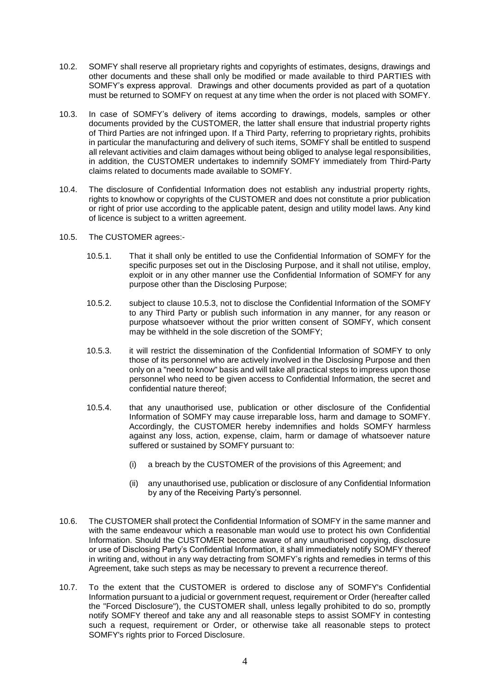- 10.2. SOMFY shall reserve all proprietary rights and copyrights of estimates, designs, drawings and other documents and these shall only be modified or made available to third PARTIES with SOMFY's express approval. Drawings and other documents provided as part of a quotation must be returned to SOMFY on request at any time when the order is not placed with SOMFY.
- 10.3. In case of SOMFY's delivery of items according to drawings, models, samples or other documents provided by the CUSTOMER, the latter shall ensure that industrial property rights of Third Parties are not infringed upon. If a Third Party, referring to proprietary rights, prohibits in particular the manufacturing and delivery of such items, SOMFY shall be entitled to suspend all relevant activities and claim damages without being obliged to analyse legal responsibilities, in addition, the CUSTOMER undertakes to indemnify SOMFY immediately from Third-Party claims related to documents made available to SOMFY.
- 10.4. The disclosure of Confidential Information does not establish any industrial property rights, rights to knowhow or copyrights of the CUSTOMER and does not constitute a prior publication or right of prior use according to the applicable patent, design and utility model laws. Any kind of licence is subject to a written agreement.
- 10.5. The CUSTOMER agrees:-
	- 10.5.1. That it shall only be entitled to use the Confidential Information of SOMFY for the specific purposes set out in the Disclosing Purpose, and it shall not utilise, employ, exploit or in any other manner use the Confidential Information of SOMFY for any purpose other than the Disclosing Purpose;
	- 10.5.2. subject to clause 10.5.3, not to disclose the Confidential Information of the SOMFY to any Third Party or publish such information in any manner, for any reason or purpose whatsoever without the prior written consent of SOMFY, which consent may be withheld in the sole discretion of the SOMFY;
	- 10.5.3. it will restrict the dissemination of the Confidential Information of SOMFY to only those of its personnel who are actively involved in the Disclosing Purpose and then only on a "need to know" basis and will take all practical steps to impress upon those personnel who need to be given access to Confidential Information, the secret and confidential nature thereof;
	- 10.5.4. that any unauthorised use, publication or other disclosure of the Confidential Information of SOMFY may cause irreparable loss, harm and damage to SOMFY. Accordingly, the CUSTOMER hereby indemnifies and holds SOMFY harmless against any loss, action, expense, claim, harm or damage of whatsoever nature suffered or sustained by SOMFY pursuant to:
		- (i) a breach by the CUSTOMER of the provisions of this Agreement; and
		- (ii) any unauthorised use, publication or disclosure of any Confidential Information by any of the Receiving Party's personnel.
- 10.6. The CUSTOMER shall protect the Confidential Information of SOMFY in the same manner and with the same endeavour which a reasonable man would use to protect his own Confidential Information. Should the CUSTOMER become aware of any unauthorised copying, disclosure or use of Disclosing Party's Confidential Information, it shall immediately notify SOMFY thereof in writing and, without in any way detracting from SOMFY's rights and remedies in terms of this Agreement, take such steps as may be necessary to prevent a recurrence thereof.
- 10.7. To the extent that the CUSTOMER is ordered to disclose any of SOMFY's Confidential Information pursuant to a judicial or government request, requirement or Order (hereafter called the "Forced Disclosure"), the CUSTOMER shall, unless legally prohibited to do so, promptly notify SOMFY thereof and take any and all reasonable steps to assist SOMFY in contesting such a request, requirement or Order, or otherwise take all reasonable steps to protect SOMFY's rights prior to Forced Disclosure.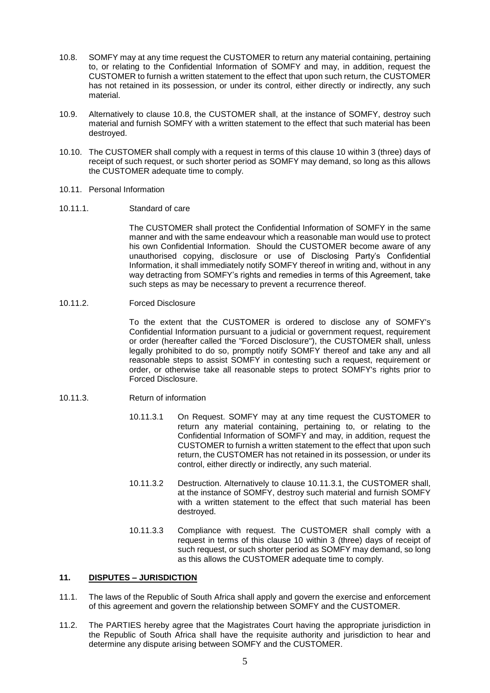- 10.8. SOMFY may at any time request the CUSTOMER to return any material containing, pertaining to, or relating to the Confidential Information of SOMFY and may, in addition, request the CUSTOMER to furnish a written statement to the effect that upon such return, the CUSTOMER has not retained in its possession, or under its control, either directly or indirectly, any such material.
- 10.9. Alternatively to clause 10.8, the CUSTOMER shall, at the instance of SOMFY, destroy such material and furnish SOMFY with a written statement to the effect that such material has been destroyed.
- 10.10. The CUSTOMER shall comply with a request in terms of this clause 10 within 3 (three) days of receipt of such request, or such shorter period as SOMFY may demand, so long as this allows the CUSTOMER adequate time to comply.
- 10.11. Personal Information
- 10.11.1. Standard of care

The CUSTOMER shall protect the Confidential Information of SOMFY in the same manner and with the same endeavour which a reasonable man would use to protect his own Confidential Information. Should the CUSTOMER become aware of any unauthorised copying, disclosure or use of Disclosing Party's Confidential Information, it shall immediately notify SOMFY thereof in writing and, without in any way detracting from SOMFY's rights and remedies in terms of this Agreement, take such steps as may be necessary to prevent a recurrence thereof.

10.11.2. Forced Disclosure

To the extent that the CUSTOMER is ordered to disclose any of SOMFY's Confidential Information pursuant to a judicial or government request, requirement or order (hereafter called the "Forced Disclosure"), the CUSTOMER shall, unless legally prohibited to do so, promptly notify SOMFY thereof and take any and all reasonable steps to assist SOMFY in contesting such a request, requirement or order, or otherwise take all reasonable steps to protect SOMFY's rights prior to Forced Disclosure.

- 10.11.3. Return of information
	- 10.11.3.1 On Request. SOMFY may at any time request the CUSTOMER to return any material containing, pertaining to, or relating to the Confidential Information of SOMFY and may, in addition, request the CUSTOMER to furnish a written statement to the effect that upon such return, the CUSTOMER has not retained in its possession, or under its control, either directly or indirectly, any such material.
	- 10.11.3.2 Destruction. Alternatively to clause 10.11.3.1, the CUSTOMER shall, at the instance of SOMFY, destroy such material and furnish SOMFY with a written statement to the effect that such material has been destroyed.
	- 10.11.3.3 Compliance with request. The CUSTOMER shall comply with a request in terms of this clause 10 within 3 (three) days of receipt of such request, or such shorter period as SOMFY may demand, so long as this allows the CUSTOMER adequate time to comply.

#### **11. DISPUTES – JURISDICTION**

- 11.1. The laws of the Republic of South Africa shall apply and govern the exercise and enforcement of this agreement and govern the relationship between SOMFY and the CUSTOMER.
- 11.2. The PARTIES hereby agree that the Magistrates Court having the appropriate jurisdiction in the Republic of South Africa shall have the requisite authority and jurisdiction to hear and determine any dispute arising between SOMFY and the CUSTOMER.